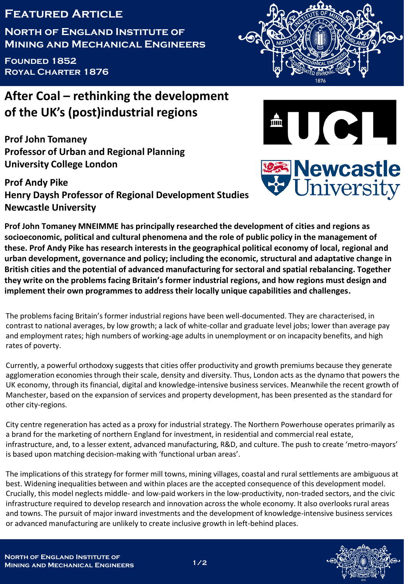## **Featured Article**

**North of England Institute of Mining and Mechanical Engineers**

**Founded 1852 Royal Charter 1876**

## **After Coal – rethinking the development of the UK's (post)industrial regions**

**Prof John Tomaney Professor of Urban and Regional Planning University College London**

**Prof Andy Pike Henry Daysh Professor of Regional Development Studies Newcastle University**







**Prof John Tomaney MNEIMME has principally researched the development of cities and regions as socioeconomic, political and cultural phenomena and the role of public policy in the management of these. Prof Andy Pike has research interests in the geographical political economy of local, regional and urban development, governance and policy; including the economic, structural and adaptative change in British cities and the potential of advanced manufacturing for sectoral and spatial rebalancing. Together they write on the problems facing Britain's former industrial regions, and how regions must design and implement their own programmes to address their locally unique capabilities and challenges.**

The problems facing Britain's former industrial regions have been well-documented. They are characterised, in contrast to national averages, by low growth; a lack of white-collar and graduate level jobs; lower than average pay and employment rates; high numbers of working-age adults in unemployment or on incapacity benefits, and high rates of poverty.

Currently, a powerful orthodoxy suggests that cities offer productivity and growth premiums because they generate agglomeration economies through their scale, density and diversity. Thus, London acts as the dynamo that powers the UK economy, through its financial, digital and knowledge-intensive business services. Meanwhile the recent growth of Manchester, based on the expansion of services and property development, has been presented as the standard for other city-regions.

City centre regeneration has acted as a proxy for industrial strategy. The Northern Powerhouse operates primarily as a brand for the marketing of northern England for investment, in residential and commercial real estate, infrastructure, and, to a lesser extent, advanced manufacturing, R&D, and culture. The push to create 'metro-mayors' is based upon matching decision-making with 'functional urban areas'.

The implications of this strategy for former mill towns, mining villages, coastal and rural settlements are ambiguous at best. Widening inequalities between and within places are the accepted consequence of this development model. Crucially, this model neglects middle- and low-paid workers in the low-productivity, non-traded sectors, and the civic infrastructure required to develop research and innovation across the whole economy. It also overlooks rural areas and towns. The pursuit of major inward investments and the development of knowledge-intensive business services or advanced manufacturing are unlikely to create inclusive growth in left-behind places.